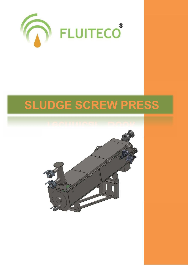

## **SLUDGE SCREW PRESS**

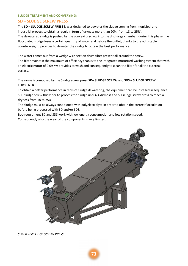## **SLUDGE TREATMENT AND CONVERYING:**

## **SD – SLUDGE SCREW PRESS**

The **SD – SLUDGE SCREW PRESS** is was designed to dewater the sludge coming from municipal and industrial process to obtain a result in term of dryness more than 20%.(from 18 to 25%). The dewatered sludge is pushed by the conveying screw into the discharge chamber, during this phase, the flocculated sludge loses a certain quantity of water and before the outlet, thanks to the adjustable counterweight, provides to dewater the sludge to obtain the best performance.

The water comes out from a wedge wire section drum filter present all around the screw. The filter maintain the maximum of efficiency thanks to the integrated motorized washing system that with an electric motor of 0,09 Kw provides to wash and consequently to clean the filter for all the external surface.

The range is composed by the Sludge screw press **SD– SLUDGE SCREW** and **SDS – SLUDGE SCREW THICKENER**.

To obtain a better performance in term of sludge dewatering, the equipment can be installed in sequence: SDS sludge screw thickener to process the sludge until 6% dryness and SD sludge screw press to reach a dryness from 18 to 25%.

The sludge must be always conditioned with polyelectrolyte in order to obtain the correct flocculation before being processed with SD and/or SDS.

Both equipment SD and SDS work with low energy consumption and low rotation speed.

Consequently also the wear of the components is very limited.



*SD400 – SCLUDGE SCREW PRESS*